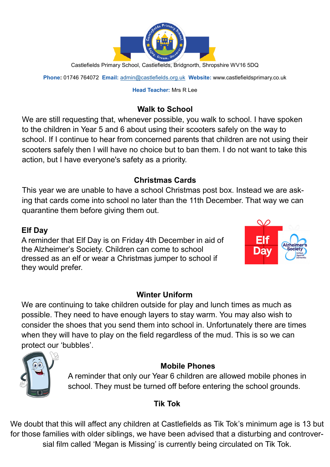

Castlefields Primary School, Castlefields, Bridgnorth, Shropshire WV16 5DQ

**Phone:** 01746 764072 **Email:** [admin@castlefields.org.uk](mailto:admin@castlefields.org.uk) **Website:** www.castlefieldsprimary.co.uk

### **Head Teacher:** Mrs R Lee

# **Walk to School**

We are still requesting that, whenever possible, you walk to school. I have spoken to the children in Year 5 and 6 about using their scooters safely on the way to school. If I continue to hear from concerned parents that children are not using their scooters safely then I will have no choice but to ban them. I do not want to take this action, but I have everyone's safety as a priority.

## **Christmas Cards**

This year we are unable to have a school Christmas post box. Instead we are asking that cards come into school no later than the 11th December. That way we can quarantine them before giving them out.

## **Elf Day**

A reminder that Elf Day is on Friday 4th December in aid of the Alzheimer's Society. Children can come to school dressed as an elf or wear a Christmas jumper to school if they would prefer.



We are continuing to take children outside for play and lunch times as much as possible. They need to have enough layers to stay warm. You may also wish to consider the shoes that you send them into school in. Unfortunately there are times when they will have to play on the field regardless of the mud. This is so we can protect our 'bubbles'.



## **Mobile Phones**

A reminder that only our Year 6 children are allowed mobile phones in school. They must be turned off before entering the school grounds.

## **Tik Tok**

We doubt that this will affect any children at Castlefields as Tik Tok's minimum age is 13 but for those families with older siblings, we have been advised that a disturbing and controversial film called 'Megan is Missing' is currently being circulated on Tik Tok.